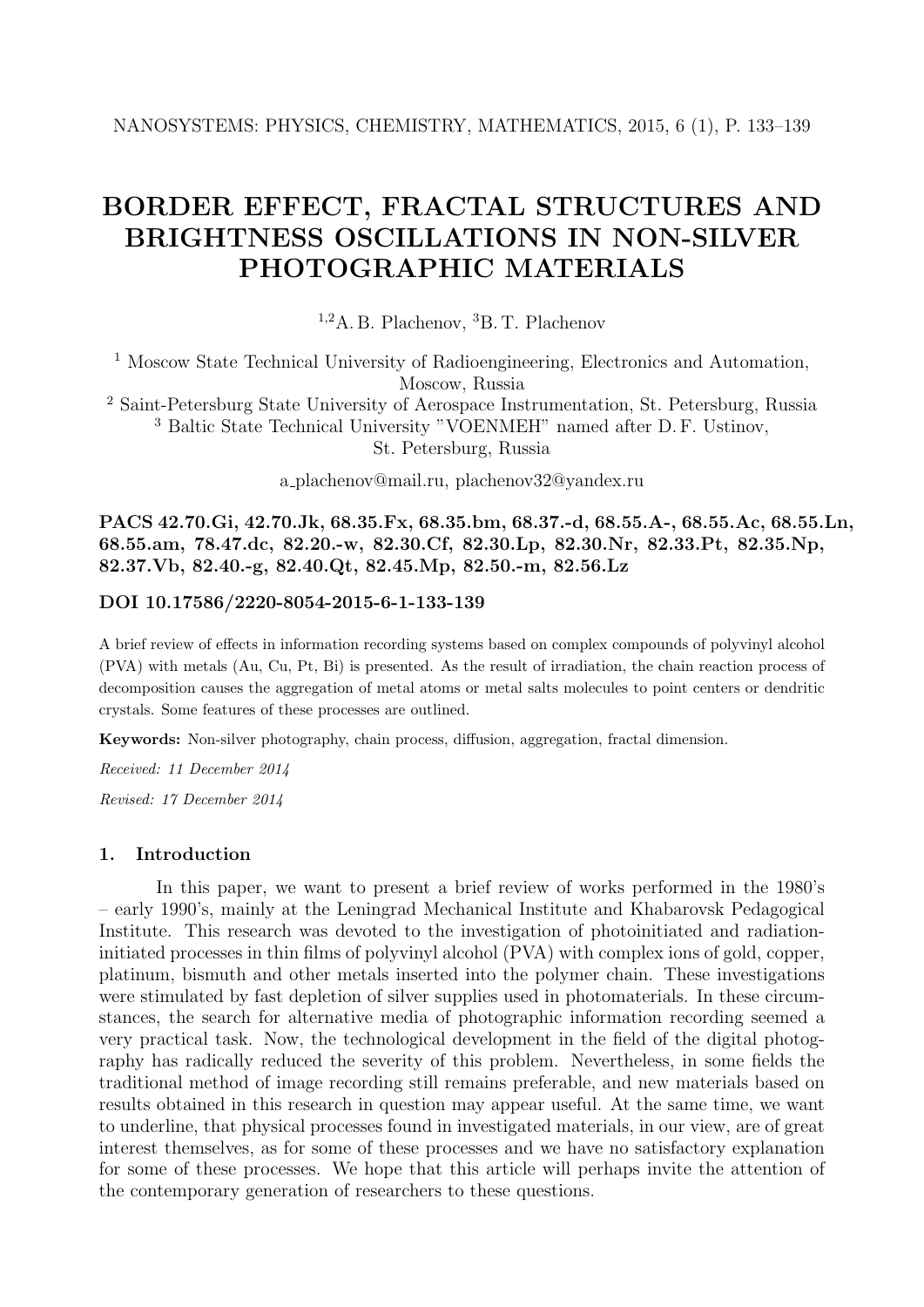# **BORDER EFFECT, FRACTAL STRUCTURES AND BRIGHTNESS OSCILLATIONS IN NON-SILVER PHOTOGRAPHIC MATERIALS**

<sup>1,2</sup>A. B. Plachenov, <sup>3</sup>B. T. Plachenov

<sup>1</sup> Moscow State Technical University of Radioengineering, Electronics and Automation, Moscow, Russia

<sup>2</sup> Saint-Petersburg State University of Aerospace Instrumentation, St. Petersburg, Russia <sup>3</sup> Baltic State Technical University "VOENMEH" named after D. F. Ustinov,

St. Petersburg, Russia

a plachenov@mail.ru, plachenov32@yandex.ru

**PACS 42.70.Gi, 42.70.Jk, 68.35.Fx, 68.35.bm, 68.37.-d, 68.55.A-, 68.55.Ac, 68.55.Ln, 68.55.am, 78.47.dc, 82.20.-w, 82.30.Cf, 82.30.Lp, 82.30.Nr, 82.33.Pt, 82.35.Np, 82.37.Vb, 82.40.-g, 82.40.Qt, 82.45.Mp, 82.50.-m, 82.56.Lz**

# **DOI 10.17586/2220-8054-2015-6-1-133-139**

A brief review of effects in information recording systems based on complex compounds of polyvinyl alcohol (PVA) with metals (Au, Cu, Pt, Bi) is presented. As the result of irradiation, the chain reaction process of decomposition causes the aggregation of metal atoms or metal salts molecules to point centers or dendritic crystals. Some features of these processes are outlined.

**Keywords:** Non-silver photography, chain process, diffusion, aggregation, fractal dimension.

*Received: 11 December 2014*

*Revised: 17 December 2014*

#### **1. Introduction**

In this paper, we want to present a brief review of works performed in the 1980's – early 1990's, mainly at the Leningrad Mechanical Institute and Khabarovsk Pedagogical Institute. This research was devoted to the investigation of photoinitiated and radiationinitiated processes in thin films of polyvinyl alcohol (PVA) with complex ions of gold, copper, platinum, bismuth and other metals inserted into the polymer chain. These investigations were stimulated by fast depletion of silver supplies used in photomaterials. In these circumstances, the search for alternative media of photographic information recording seemed a very practical task. Now, the technological development in the field of the digital photography has radically reduced the severity of this problem. Nevertheless, in some fields the traditional method of image recording still remains preferable, and new materials based on results obtained in this research in question may appear useful. At the same time, we want to underline, that physical processes found in investigated materials, in our view, are of great interest themselves, as for some of these processes and we have no satisfactory explanation for some of these processes. We hope that this article will perhaps invite the attention of the contemporary generation of researchers to these questions.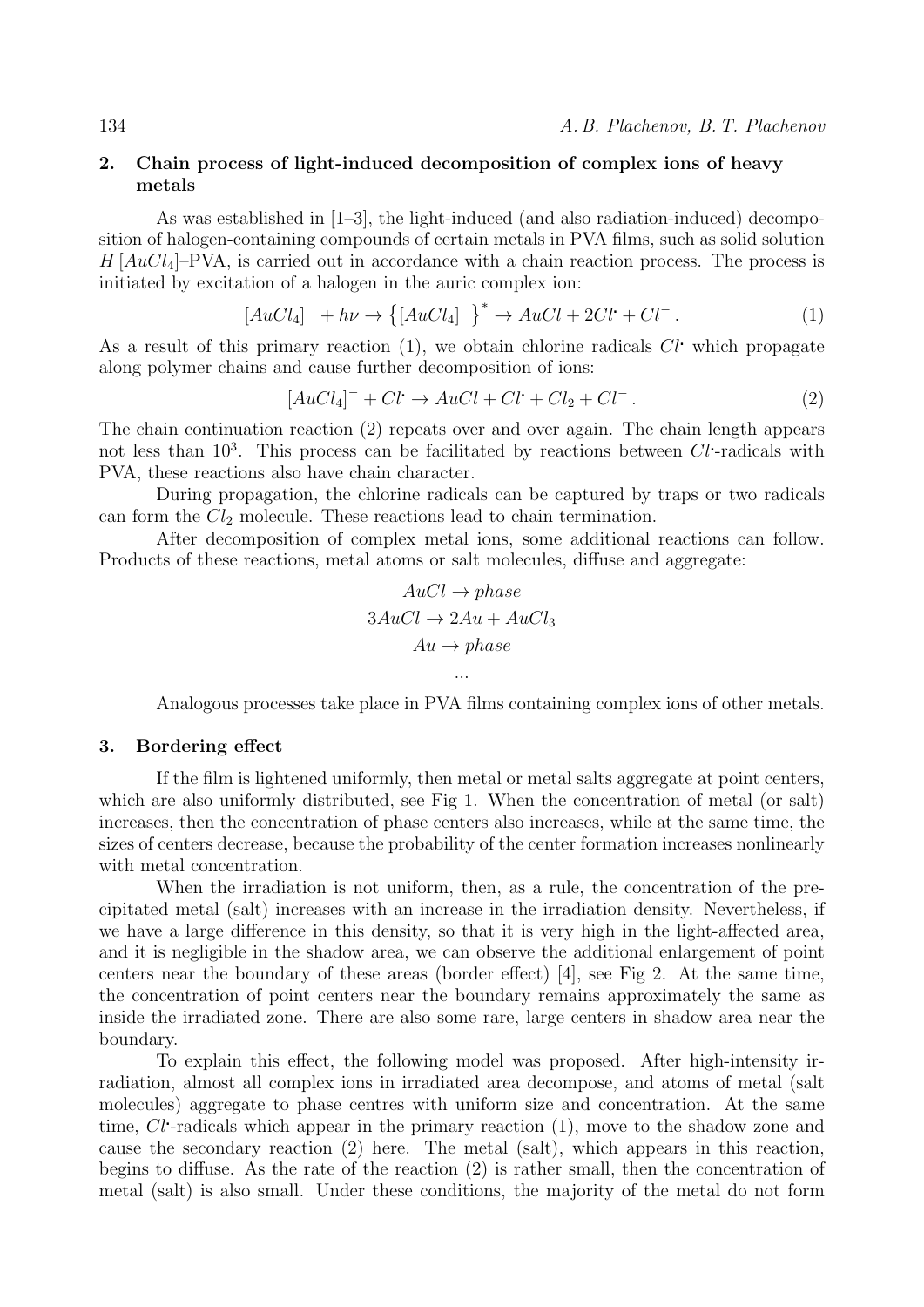## **2. Chain process of light-induced decomposition of complex ions of heavy metals**

As was established in [1–3], the light-induced (and also radiation-induced) decomposition of halogen-containing compounds of certain metals in PVA films, such as solid solution *H* [*AuCl*4]–PVA, is carried out in accordance with a chain reaction process. The process is initiated by excitation of a halogen in the auric complex ion:

$$
[AuCl_4]^- + h\nu \to \left\{ [AuCl_4]^- \right\}^* \to AuCl + 2Cl^+ + Cl^-.
$$
 (1)

As a result of this primary reaction (1), we obtain chlorine radicals *Cl* which propagate along polymer chains and cause further decomposition of ions:

$$
[AuCl_4]^- + Cl \rightarrow AuCl + Cl + Cl_2 + Cl^-.
$$
 (2)

The chain continuation reaction (2) repeats over and over again. The chain length appears not less than 10<sup>3</sup>. This process can be facilitated by reactions between *Cl*-radicals with PVA, these reactions also have chain character.

During propagation, the chlorine radicals can be captured by traps or two radicals can form the *Cl*<sup>2</sup> molecule. These reactions lead to chain termination.

After decomposition of complex metal ions, some additional reactions can follow. Products of these reactions, metal atoms or salt molecules, diffuse and aggregate:

$$
AuCl \rightarrow phase
$$
  
3AuCl \rightarrow 2Au + AuCl<sub>3</sub>  
Au \rightarrow phase  
...

Analogous processes take place in PVA films containing complex ions of other metals.

# **3. Bordering effect**

If the film is lightened uniformly, then metal or metal salts aggregate at point centers, which are also uniformly distributed, see Fig 1. When the concentration of metal (or salt) increases, then the concentration of phase centers also increases, while at the same time, the sizes of centers decrease, because the probability of the center formation increases nonlinearly with metal concentration.

When the irradiation is not uniform, then, as a rule, the concentration of the precipitated metal (salt) increases with an increase in the irradiation density. Nevertheless, if we have a large difference in this density, so that it is very high in the light-affected area, and it is negligible in the shadow area, we can observe the additional enlargement of point centers near the boundary of these areas (border effect) [4], see Fig 2. At the same time, the concentration of point centers near the boundary remains approximately the same as inside the irradiated zone. There are also some rare, large centers in shadow area near the boundary.

To explain this effect, the following model was proposed. After high-intensity irradiation, almost all complex ions in irradiated area decompose, and atoms of metal (salt molecules) aggregate to phase centres with uniform size and concentration. At the same time, *Cl*-radicals which appear in the primary reaction (1), move to the shadow zone and cause the secondary reaction (2) here. The metal (salt), which appears in this reaction, begins to diffuse. As the rate of the reaction (2) is rather small, then the concentration of metal (salt) is also small. Under these conditions, the majority of the metal do not form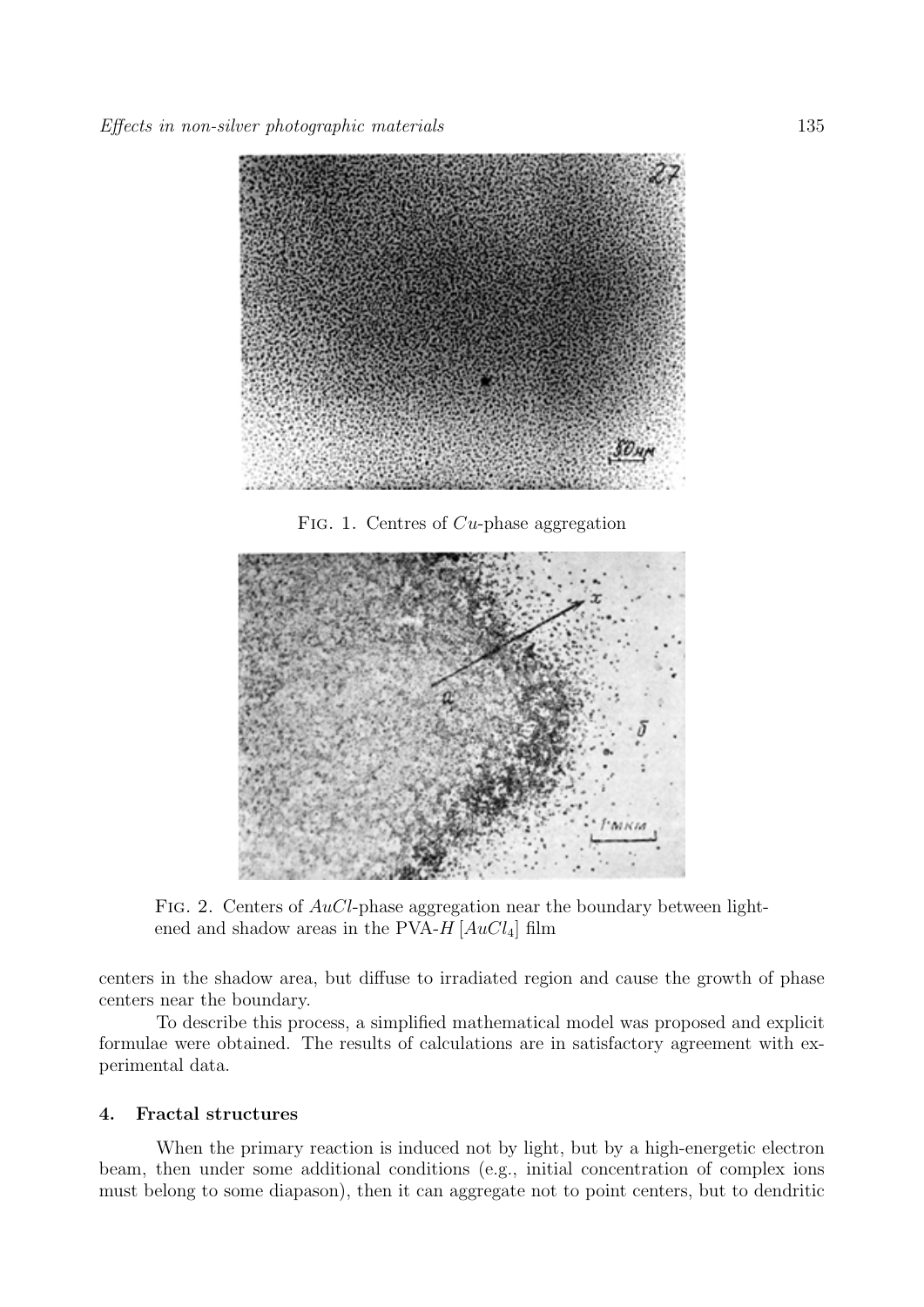

Fig. 1. Centres of *Cu*-phase aggregation



Fig. 2. Centers of *AuCl*-phase aggregation near the boundary between lightened and shadow areas in the PVA-*H* [*AuCl*4] film

centers in the shadow area, but diffuse to irradiated region and cause the growth of phase centers near the boundary.

To describe this process, a simplified mathematical model was proposed and explicit formulae were obtained. The results of calculations are in satisfactory agreement with experimental data.

## **4. Fractal structures**

When the primary reaction is induced not by light, but by a high-energetic electron beam, then under some additional conditions (e.g., initial concentration of complex ions must belong to some diapason), then it can aggregate not to point centers, but to dendritic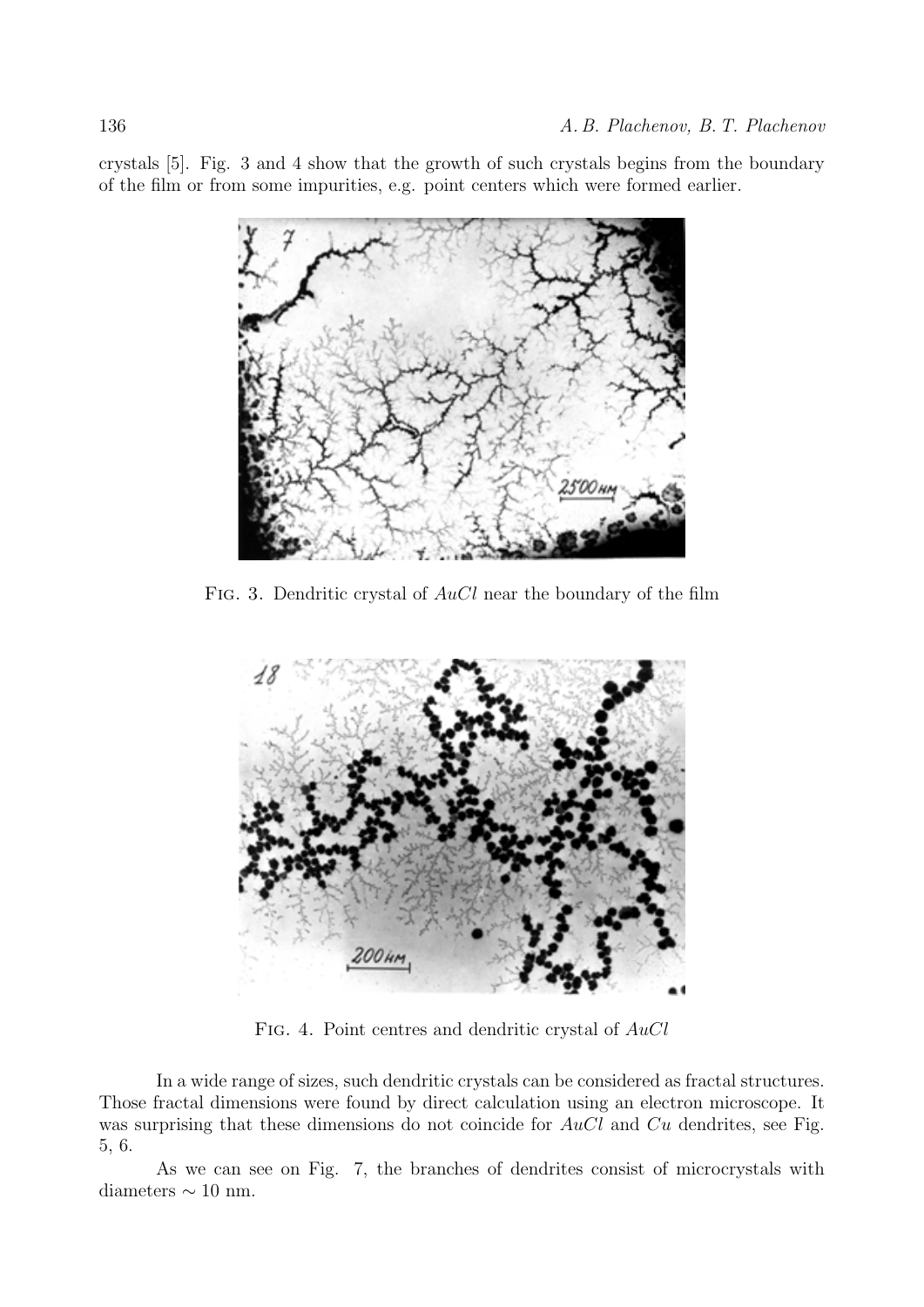crystals [5]. Fig. 3 and 4 show that the growth of such crystals begins from the boundary of the film or from some impurities, e.g. point centers which were formed earlier.



Fig. 3. Dendritic crystal of *AuCl* near the boundary of the film



Fig. 4. Point centres and dendritic crystal of *AuCl*

In a wide range of sizes, such dendritic crystals can be considered as fractal structures. Those fractal dimensions were found by direct calculation using an electron microscope. It was surprising that these dimensions do not coincide for *AuCl* and *Cu* dendrites, see Fig. 5, 6.

As we can see on Fig. 7, the branches of dendrites consist of microcrystals with diameters *∼* 10 nm.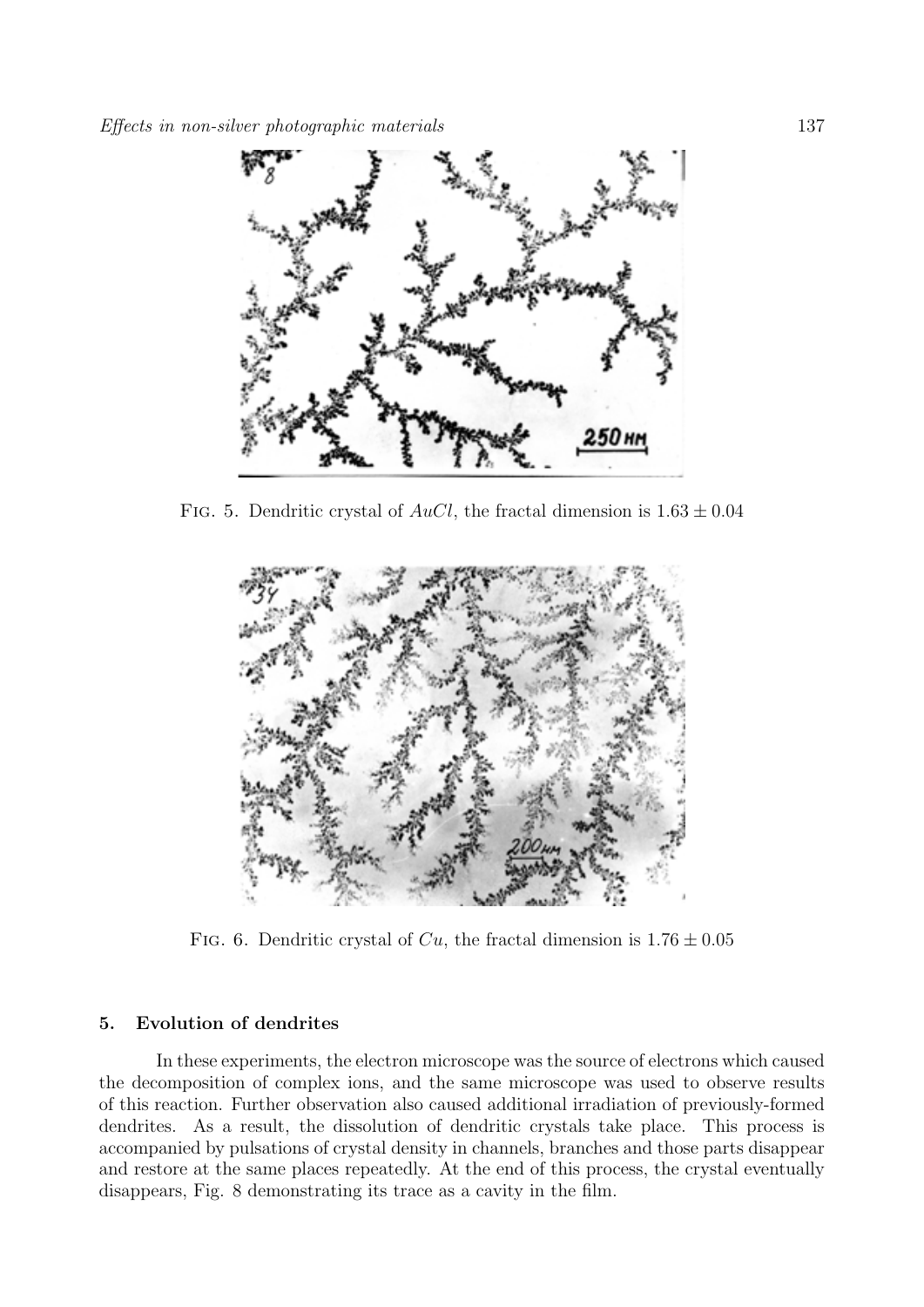

FIG. 5. Dendritic crystal of  $AuCl$ , the fractal dimension is  $1.63 \pm 0.04$ 



FIG. 6. Dendritic crystal of  $Cu$ , the fractal dimension is  $1.76 \pm 0.05$ 

### **5. Evolution of dendrites**

In these experiments, the electron microscope was the source of electrons which caused the decomposition of complex ions, and the same microscope was used to observe results of this reaction. Further observation also caused additional irradiation of previously-formed dendrites. As a result, the dissolution of dendritic crystals take place. This process is accompanied by pulsations of crystal density in channels, branches and those parts disappear and restore at the same places repeatedly. At the end of this process, the crystal eventually disappears, Fig. 8 demonstrating its trace as a cavity in the film.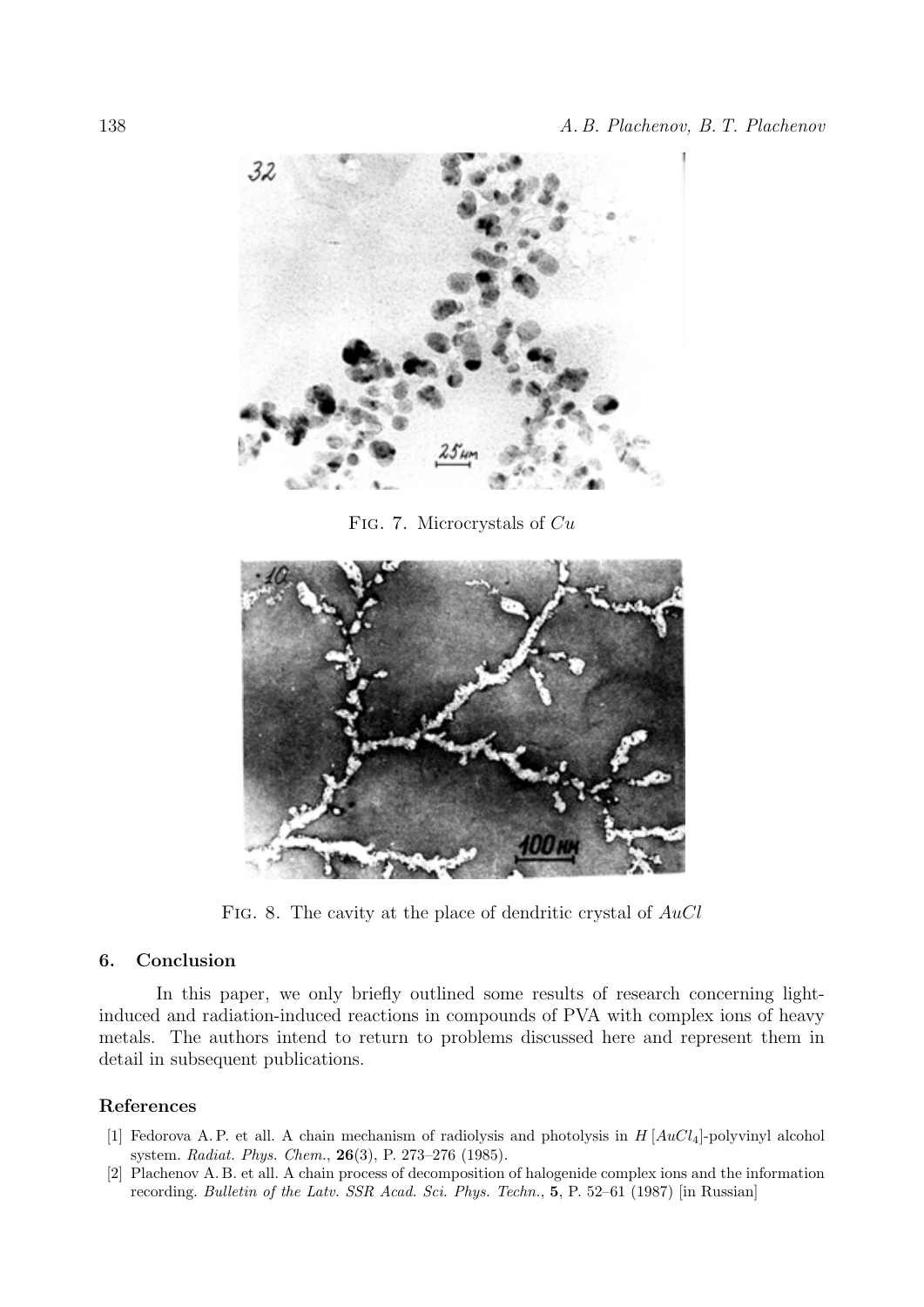

Fig. 7. Microcrystals of *Cu*



Fig. 8. The cavity at the place of dendritic crystal of *AuCl*

## **6. Conclusion**

In this paper, we only briefly outlined some results of research concerning lightinduced and radiation-induced reactions in compounds of PVA with complex ions of heavy metals. The authors intend to return to problems discussed here and represent them in detail in subsequent publications.

#### **References**

- [1] Fedorova A. P. et all. A chain mechanism of radiolysis and photolysis in *H* [*AuCl*4]-polyvinyl alcohol system. *Radiat. Phys. Chem.*, **26**(3), P. 273–276 (1985).
- [2] Plachenov A. B. et all. A chain process of decomposition of halogenide complex ions and the information recording. *Bulletin of the Latv. SSR Acad. Sci. Phys. Techn.*, **5**, P. 52–61 (1987) [in Russian]